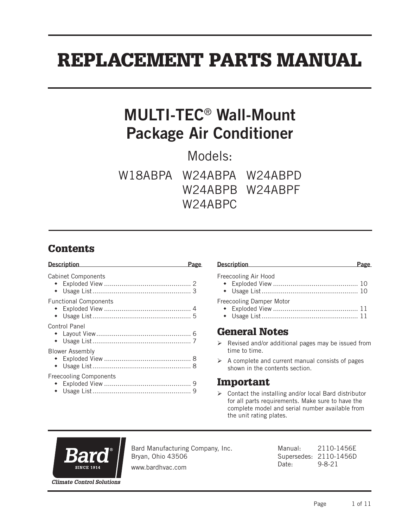# REPLACEMENT PARTS MANUAL

## MULTI-TEC® Wall-Mount Package Air Conditioner

Models:

W18ABPA W24ABPA W24ABPD W24ABPB W24ABPF W24ABPC

## **Contents**

| <b>Description</b>            |  |
|-------------------------------|--|
| <b>Cabinet Components</b>     |  |
| <b>Functional Components</b>  |  |
| Control Panel                 |  |
| <b>Blower Assembly</b>        |  |
| <b>Freecooling Components</b> |  |

| Description Description | Page |
|-------------------------|------|
| Freecooling Air Hood    |      |
|                         |      |
|                         |      |

Freecooling Damper Motor

- Exploded View ............................................ 11
- Usage List.................................................. 11

#### General Notes

- $\triangleright$  Revised and/or additional pages may be issued from time to time.
- $\triangleright$  A complete and current manual consists of pages shown in the contents section.

#### Important

 $\triangleright$  Contact the installing and/or local Bard distributor for all parts requirements. Make sure to have the complete model and serial number available from the unit rating plates.



Bard Manufacturing Company, Inc. Bryan, Ohio 43506

Manual: 2110-1456E Supersedes: 2110-1456D Date: 9-8-21

www.bardhvac.com

Page 1 of 11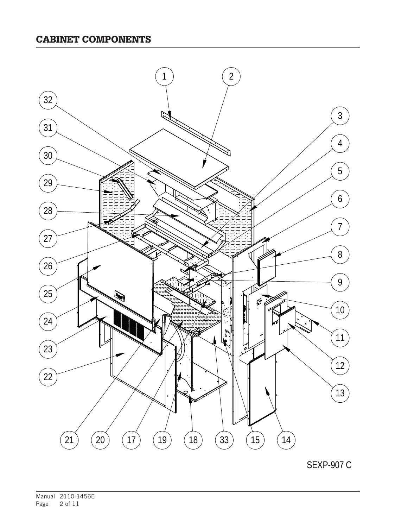#### CABINET COMPONENTS



SEXP-907 C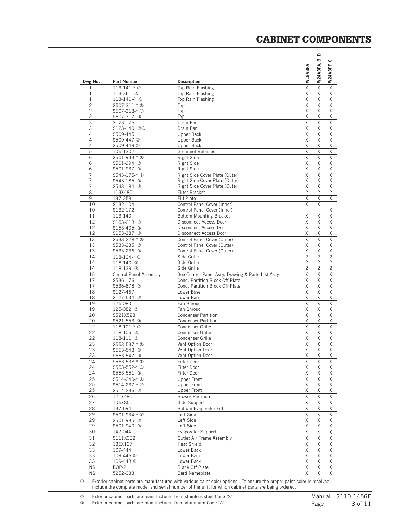#### CABINET COMPONENTS

| Dwg No.        | Part Number                               | <b>Description</b>                                                                    | W18ABPA                 | ≏<br>ம்<br>W24ABPA, | ပ<br>W24ABPF,  |
|----------------|-------------------------------------------|---------------------------------------------------------------------------------------|-------------------------|---------------------|----------------|
| 1              | $113 - 141 - * 0$                         | Top Rain Flashing                                                                     | $\overline{\mathsf{x}}$ | X                   | $\overline{X}$ |
| 1              | 113-361 2                                 | Top Rain Flashing                                                                     | Χ                       | X                   | Χ              |
| 1              | 113-141-4 <sup>3</sup>                    | Top Rain Flashing                                                                     | χ                       | Χ                   | Χ              |
| $\overline{c}$ | S507-311-* <sup>0</sup>                   | Top                                                                                   | Χ                       | $\overline{x}$      | X              |
| 2<br>2         | \$507-318-* 3<br>S507-317 2               | Top<br>Top                                                                            | Χ<br>Χ                  | X<br>X              | Χ<br>X         |
| 3              | S123-126                                  | Drain Pan                                                                             | Χ                       | X                   | X              |
| 3              | S123-140 23                               | Drain Pan                                                                             | X                       | X                   | Χ              |
| 4              | S509-445                                  | Upper Back                                                                            | X                       | X                   | X              |
| 4              | S509-447 <sup>3</sup>                     | Upper Back                                                                            | Χ                       | X                   | Χ              |
| 4              | S509-449 2                                | Upper Back                                                                            | Χ                       | Χ                   | Χ              |
| 5              | 105-1302                                  | <b>Grommet Retainer</b>                                                               | Χ                       | Χ                   | X              |
| 6              | S501-933-* <sup>0</sup>                   | Right Side                                                                            | Χ                       | X                   | X              |
| 6              | S501-994 2                                | Right Side                                                                            | X                       | X                   | X              |
| 6              | S501-937 ©                                | Right Side                                                                            | Χ                       | X                   | Χ              |
| 7              | S543-175-* <sup>0</sup>                   | Right Side Cover Plate (Outer)                                                        | Χ                       | X                   | Χ              |
| 7<br>7         | S543-185 <sup>©</sup>                     | Right Side Cover Plate (Outer)                                                        | Χ<br>X                  | X<br>X              | X<br>X         |
| 8              | S543-184 <sup>3</sup><br>113X480          | Right Side Cover Plate (Outer)<br>Filter Bracket                                      | $\overline{c}$          | $\overline{c}$      | $\overline{c}$ |
| 9              | 137-259                                   | Fill Plate                                                                            | X                       | Χ                   | X              |
| 10             | S132-104                                  | Control Panel Cover (Inner)                                                           | X                       | X                   |                |
| 10             | S132-172                                  | Control Panel Cover (Inner)                                                           |                         |                     | Χ              |
| 11             | 113-140                                   | <b>Bottom Mounting Bracket</b>                                                        | Χ                       | Χ                   | Χ              |
| 12             | \$153-218 <sup>①</sup>                    | Disconnect Access Door                                                                | X                       | X                   | Χ              |
| 12             | S153-405 <sup>@</sup>                     | Disconnect Access Door                                                                | Χ                       | X                   | Χ              |
| 12             | S153-387 <sup>3</sup>                     | Disconnect Access Door                                                                | X                       | X                   | Χ              |
| 13             | \$533-228-* <sup>0</sup>                  | Control Panel Cover (Outer)                                                           | Χ                       | X                   | X              |
| 13             | S533-235 <sup>@</sup>                     | Control Panel Cover (Outer)                                                           | χ                       | Χ                   | Χ              |
| 13             | S533-236 <sup>3</sup>                     | Control Panel Cover (Outer)                                                           | Χ                       | X                   | Χ              |
| 14             | $118 - 124 - * ①$                         | Side Grille                                                                           | $\overline{c}$          | $\overline{c}$      | $\overline{c}$ |
| 14             | 118-140 <sup>2</sup>                      | Side Grille                                                                           | $\overline{c}$          | $\overline{c}$      | $\overline{c}$ |
| 14             | 118-139 <sup>3</sup>                      | Side Grille                                                                           | $\overline{c}$          | 2                   | 2              |
| 15<br>17       | <b>Control Panel Assembly</b><br>S536-176 | See Control Panel Assy. Drawing & Parts List Assy.<br>Cond. Partition Block Off Plate | Χ<br>X                  | Χ<br>X              | Χ<br>X         |
| 17             | S536-878 <sup>2</sup>                     | Cond. Partition Block Off Plate                                                       | Χ                       | Χ                   | Χ              |
| 18             | S127-467                                  | Lower Base                                                                            | X                       | X                   | X              |
| 18             | S127-534 @                                | Lower Base                                                                            | Χ                       | X                   | Χ              |
| 19             | 125-080                                   | Fan Shroud                                                                            | X                       | X                   | X              |
| 19             | 125-082 <sup>2</sup>                      | Fan Shroud                                                                            | Χ                       | Χ                   | Χ              |
| 20             | S521X528                                  | <b>Condenser Partition</b>                                                            | Χ                       | X                   | X              |
| 20             | S521-553 <sup>©</sup>                     | <b>Condenser Partition</b>                                                            | Χ                       | Χ                   | Χ              |
| 22             | $118 - 101 - * ①$                         | Condenser Grille                                                                      | Χ                       | X                   | X              |
| 22             | 118-106 2                                 | Condenser Grille                                                                      | Χ                       | X                   | X              |
| 22             | 118-111 <sup>3</sup>                      | Condenser Grille                                                                      | Χ                       | X                   | Χ              |
| 23<br>23       | \$553-537-* <sup>0</sup>                  | Vent Option Door<br>Vent Option Door                                                  | Χ<br>Χ                  | X<br>X              | X<br>X         |
| 23             | S553-548 <sup>3</sup><br>S553-547 2       | Vent Option Door                                                                      | Χ                       | Χ                   | Χ              |
| 24             | \$553-538-* <sup>0</sup>                  | Filter Door                                                                           | Χ                       | Χ                   | X              |
| 24             | S553-552-* 3                              | Filter Door                                                                           | Χ                       | X                   | Χ              |
| 24             | S553-551 2                                | Filter Door                                                                           | Χ                       | Χ                   | Χ              |
| 25             | S514-240-* <sup>0</sup>                   | <b>Upper Front</b>                                                                    | Χ                       | X                   | X              |
| 25             | S514-237-* 3                              | Upper Front                                                                           | Χ                       | Χ                   | Χ              |
| 25             | S514-236 2                                | Upper Front                                                                           | Χ                       | Χ                   | Χ              |
| 26             | 121X480                                   | <b>Blower Partition</b>                                                               | Χ                       | Χ                   | Χ              |
| 27             | 105X850                                   | Side Support                                                                          | Χ                       | X                   | Χ              |
| 28             | 137-694                                   | Bottom Evaporator Fill                                                                | Χ                       | Χ                   | Χ              |
| 29             | S501-934-* <sup>1</sup>                   | Left Side                                                                             | χ                       | X                   | Χ              |
| 29             | S501-995 2                                | Left Side                                                                             | Χ                       | Χ                   | Χ              |
| 29             | S501-940 3                                | Left Side                                                                             | Χ                       | Χ                   | Χ              |
| 30             | 147-044                                   | <b>Evaporator Support</b>                                                             | Χ                       | Χ                   | Χ              |
| 31<br>32       | S111X032                                  | Outlet Air Frame Assembly<br><b>Heat Shield</b>                                       | Χ<br>Χ                  | Χ                   | Χ              |
| 33             | 135X127<br>$109 - 444$                    | Lower Back                                                                            | Χ                       | Χ<br>Χ              | Χ<br>Χ         |
| 33             | 109-446 <sup>3</sup>                      | Lower Back                                                                            | Χ                       | X                   | Χ              |
| 33             | 109-448 2                                 | Lower Back                                                                            | Χ                       | Χ                   | Χ              |
| <b>NS</b>      | $BOP-2$                                   | <b>Blank Off Plate</b>                                                                | Χ                       | Χ                   | Χ              |
| <b>NS</b>      | 5252-033                                  | <b>Bard Nameplate</b>                                                                 | Χ                       | Χ                   | X              |
|                |                                           |                                                                                       |                         |                     |                |

 Exterior cabinet parts are manufactured with various paint color options. To ensure the proper paint color is received, include the complete model and serial number of the unit for which cabinet parts are being ordered.

**2** Exterior cabinet parts are manufactured from stainless steel Code "S"

Exterior cabinet parts are manufactured from aluminum Code "A"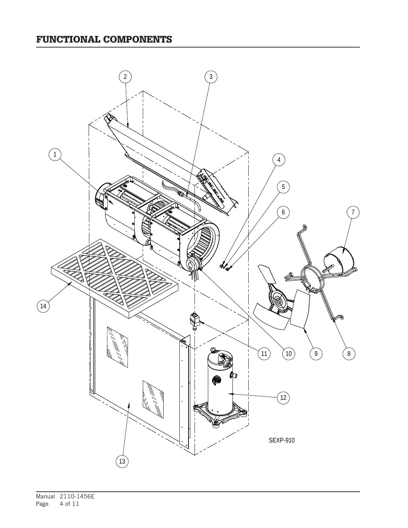## FUNCTIONAL COMPONENTS

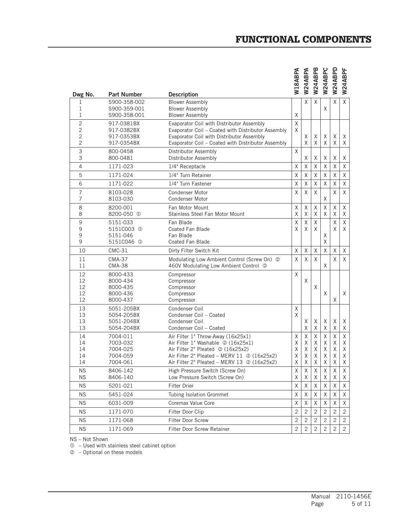| Dwg No.                                    | <b>Part Number</b>                                                     | <b>Description</b>                                                                                                                                                                                                                           | <b>N18ABPA</b>        | <b>N24ABPA</b>        | W24ABPB               | W24ABPC               | W24ABPD               | W24ABPF               |
|--------------------------------------------|------------------------------------------------------------------------|----------------------------------------------------------------------------------------------------------------------------------------------------------------------------------------------------------------------------------------------|-----------------------|-----------------------|-----------------------|-----------------------|-----------------------|-----------------------|
| 1<br>1<br>1                                | S900-358-002<br>S900-359-001<br>S900-358-001                           | <b>Blower Assembly</b><br><b>Blower Assembly</b><br><b>Blower Assembly</b>                                                                                                                                                                   | X                     | X                     | X                     | Χ                     | X                     | $\times$              |
| $\overline{c}$<br>2<br>2<br>$\overline{2}$ | 917-0381BX<br>917-0382BX<br>917-0353BX<br>917-0354BX                   | Evaporator Coil with Distributor Assembly<br>Evaporator Coil - Coated with Distributor Assembly<br>Evaporator Coil with Distributor Assembly<br>Evaporator Coil - Coated with Distributor Assembly                                           | Χ<br>X                | Χ<br>X                | Χ<br>X                | Χ<br>X                | Χ<br>X                | X<br>X                |
| 3<br>3                                     | 800-0458<br>800-0481                                                   | Distributor Assembly<br>Distributor Assembly                                                                                                                                                                                                 | X                     | X                     | Χ                     | Χ                     | Χ                     | Χ                     |
| 4                                          | 1171-023                                                               | 1/4" Receptacle                                                                                                                                                                                                                              | Χ                     | X                     | Χ                     | Χ                     | Χ                     | X                     |
| 5                                          | 1171-024                                                               | 1/4" Turn Retainer                                                                                                                                                                                                                           | Χ                     | $\times$              | Χ                     | Χ                     | $\mathsf X$           | Χ                     |
| 6                                          | 1171-022                                                               | 1/4" Turn Fastener                                                                                                                                                                                                                           | $\sf X$               | $\times$              | $\mathsf X$           | X                     | $\mathsf X$           | X                     |
| 7<br>7                                     | 8103-028<br>8103-030                                                   | <b>Condenser Motor</b><br>Condenser Motor                                                                                                                                                                                                    | X                     | X                     | X                     | Χ                     | X                     | Χ                     |
| 8<br>8                                     | 8200-001<br>8200-050 <sup>①</sup>                                      | Fan Motor Mount<br>Stainless Steel Fan Motor Mount                                                                                                                                                                                           | X<br>X                | X<br>X                | X<br>X                | X<br>X                | X<br>X                | X<br>Χ                |
| 9<br>9<br>9<br>9                           | 5151-033<br>5151C003 <sup>①</sup><br>5151-046<br>5151C046 <sup>1</sup> | Fan Blade<br><b>Coated Fan Blade</b><br>Fan Blade<br>Coated Fan Blade                                                                                                                                                                        | Χ<br>X                | X<br>X                | Χ<br>X                | Χ<br>X                | Χ<br>X                | X<br>X                |
| 10                                         | $CMC-31$                                                               | Dirty Filter Switch Kit                                                                                                                                                                                                                      | X                     | X                     | X                     | X                     | X                     | Χ                     |
| 11<br>11                                   | <b>CMA-37</b><br><b>CMA-38</b>                                         | Modulating Low Ambient Control (Screw On) 2<br>460V Modulating Low Ambient Control 2                                                                                                                                                         | X                     | X                     | X                     | Χ                     | $\mathsf{X}$          | X                     |
| 12<br>12<br>12<br>12<br>12                 | 8000-433<br>8000-434<br>8000-435<br>8000-436<br>8000-437               | Compressor<br>Compressor<br>Compressor<br>Compressor<br>Compressor                                                                                                                                                                           | X                     | X                     | X                     | X                     | X                     | X                     |
| 13<br>13<br>13<br>13                       | 5051-205BX<br>5054-205BX<br>5051-204BX<br>5054-204BX                   | Condenser Coil<br>Condenser Coil - Coated<br>Condenser Coil<br>Condenser Coil - Coated                                                                                                                                                       | Χ<br>X                | Χ<br>X                | Χ<br>Χ                | Χ<br>X                | Χ<br>Χ                | Χ<br>Χ                |
| 14<br>14<br>14<br>14<br>14                 | 7004-011<br>7003-032<br>7004-025<br>7004-059<br>7004-061               | Air Filter 1" Throw-Away (16x25x1)<br>Air Filter 1" Washable 2 (16x25x1)<br>Air Filter 2" Pleated 2 (16x25x2)<br>Air Filter 2" Pleated - MERV $11 \text{ } \textcircled{2}$ (16x25x2)<br>Air Filter 2" Pleated - MERV 13 $\oslash$ (16x25x2) | X<br>Χ<br>Χ<br>Χ<br>X | X<br>X<br>X<br>X<br>X | Χ<br>X<br>X<br>X<br>Χ | Χ<br>X<br>Χ<br>X<br>X | Χ<br>X<br>Χ<br>X<br>X | Χ<br>Χ<br>Χ<br>X<br>Χ |
| <b>NS</b>                                  | 8406-142                                                               | High Pressure Switch (Screw On)                                                                                                                                                                                                              | Χ                     | X                     | Χ                     | X                     | X                     | X                     |
| NS.                                        | 8406-140                                                               | Low Pressure Switch (Screw On)                                                                                                                                                                                                               | Χ                     | Χ                     | Χ                     | Χ                     | Χ                     | X                     |
| NS.                                        | 5201-021                                                               | Filter Drier                                                                                                                                                                                                                                 | Χ                     | Χ                     | Χ                     | Χ                     | Χ                     | Χ                     |
| <b>NS</b>                                  | 5451-024                                                               | Tubing Isolation Grommet                                                                                                                                                                                                                     | Χ                     | X                     | X                     | Χ                     | X                     | Χ                     |
| <b>NS</b>                                  | 6031-009                                                               | Coremax Value Core                                                                                                                                                                                                                           | X                     | X                     | X                     | X                     | X                     | Χ                     |
| <b>NS</b>                                  | 1171-070                                                               | Filter Door Clip                                                                                                                                                                                                                             | $\overline{c}$        | $\overline{c}$        | $\mathbf{2}$          | $\overline{2}$        | $\overline{c}$        | $\mathbf{2}$          |
| <b>NS</b>                                  | 1171-068                                                               | Filter Door Screw                                                                                                                                                                                                                            | $\mathbf{2}$          | $\mathbf{2}$          | $\mathbf{2}$          | 2                     | $\overline{c}$        | $\mathbf{2}$          |
| <b>NS</b>                                  | 1171-069                                                               | Filter Door Screw Retainer                                                                                                                                                                                                                   | $\mathbf{2}$          | $\overline{c}$        | $\overline{c}$        | 2                     | 2                     | $\mathbf{2}$          |

## FUNCTIONAL COMPONENTS

NS – Not Shown

 $<sup>0</sup>$  – Used with stainless steel cabinet option</sup>

– Optional on these models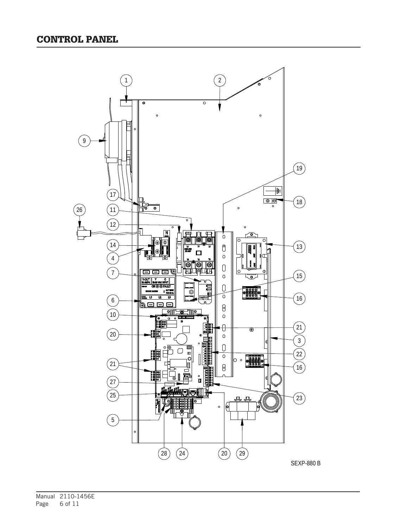

Manual 2110-1456E Page 6 of 11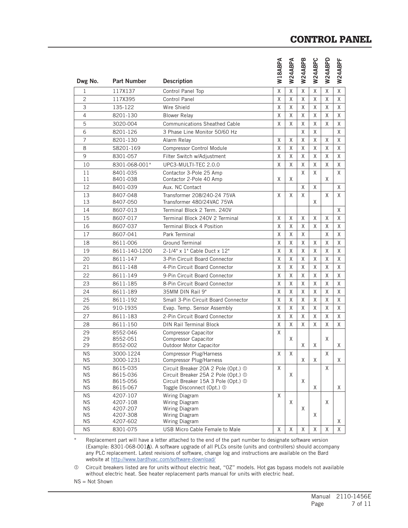#### CONTROL PANEL

|                        |                      |                                                                            | W18ABPA     | W24ABPA     | W24ABPB | W24ABPC | W24ABPD | W24ABPF     |
|------------------------|----------------------|----------------------------------------------------------------------------|-------------|-------------|---------|---------|---------|-------------|
| Dwg No.                | <b>Part Number</b>   | <b>Description</b>                                                         |             |             |         |         |         |             |
| 1                      | 117X137              | Control Panel Top                                                          | Χ           | X           | X       | X       | X       | $\mathsf X$ |
| $\overline{c}$         | 117X395              | <b>Control Panel</b>                                                       | X           | X           | Χ       | X       | X       | X           |
| 3                      | 135-122              | Wire Shield                                                                | X           | X           | X       | Χ       | X       | X           |
| $\overline{4}$         | 8201-130             | <b>Blower Relay</b>                                                        | X           | X           | X       | X       | X       | X           |
| 5                      | 3020-004             | <b>Communications Sheathed Cable</b>                                       | X           | X           | X       | X       | X       | Χ           |
| 6                      | 8201-126             | 3 Phase Line Monitor 50/60 Hz                                              |             |             | X       | X       |         | X           |
| 7                      | 8201-130             | Alarm Relav                                                                | Χ           | X           | X       | X       | X       | X           |
| 8                      | S8201-169            | <b>Compressor Control Module</b>                                           | X           | X           | X       | X       | X       | X           |
| 9                      | 8301-057             | Filter Switch w/Adjustment                                                 | X           | X           | X       | X       | X       | Χ           |
| 10                     | 8301-068-001*        | UPC3-MULTI-TEC 2.0.0                                                       | X           | X           | X       | X       | X       | X           |
| 11                     | 8401-035             | Contactor 3-Pole 25 Amp                                                    |             |             | X       | X       |         | X           |
| 11                     | 8401-038             | Contactor 2-Pole 40 Amp                                                    | Χ           | Χ           |         |         | Χ       |             |
| 12                     | 8401-039             | Aux. NC Contact                                                            |             |             | X       | X       |         | X           |
| 13<br>13               | 8407-048<br>8407-050 | Transformer 208/240-24 75VA<br>Transformer 480/24VAC 75VA                  | X           | X           | X       | X       | X       | X           |
| 14                     | 8607-013             | Terminal Block 2 Term. 240V                                                |             |             |         |         |         | X           |
| 15                     | 8607-017             | Terminal Block 240V 2 Terminal                                             | X           | X           | Χ       | X       | X       | X           |
| 16                     | 8607-037             | <b>Terminal Block 4 Position</b>                                           | Χ           | X           | X       | X       | X       | X           |
| 17                     | 8607-041             | Park Terminal                                                              | X           | X           | X       |         | X       | X           |
| 18                     | 8611-006             | <b>Ground Terminal</b>                                                     | X           | X           | X       | Χ       | X       | X           |
| 19                     | 8611-140-1200        | 2-1/4" x 1" Cable Duct x 12"                                               | Χ           | X           | X       | X       | X       | Χ           |
| 20                     | 8611-147             | 3-Pin Circuit Board Connector                                              | X           | X           | X       | X       | X       | X           |
| 21                     | 8611-148             | 4-Pin Circuit Board Connector                                              | X           | X           | X       | X       | X       | X           |
| 22                     | 8611-149             | 9-Pin Circuit Board Connector                                              | Χ           | X           | X       | X       | X       | X           |
| 23                     | 8611-185             | 8-Pin Circuit Board Connector                                              | Χ           | X           | X       | X       | X       | X           |
| 24                     | 8611-189             | 35MM DIN Rail 9"                                                           | Χ           | X           | X       | X       | X       | X           |
| 25                     | 8611-192             | Small 3-Pin Circuit Board Connector                                        | Χ           | X           | X       | X       | X       | Χ           |
| 26                     | 910-1935             | Evap. Temp. Sensor Assembly                                                | X           | X           | X       | X       | X       | Χ           |
| 27                     | 8611-183             | 2-Pin Circuit Board Connector                                              | X           | X           | X       | X       | X       | X           |
| 28                     | 8611-150             | <b>DIN Rail Terminal Block</b>                                             | X           | X           | X       | X       | Χ       | X           |
| 29                     | 8552-046             | <b>Compressor Capacitor</b>                                                | X           |             |         |         |         |             |
| 29                     | 8552-051             | <b>Compressor Capacitor</b>                                                |             | X           |         |         | X       |             |
| 29                     | 8552-002             | Outdoor Motor Capacitor                                                    |             |             | X       | X       |         | X           |
| <b>NS</b><br><b>NS</b> | 3000-1224            | Compressor Plug/Harness<br><b>Compressor Plug/Harness</b>                  | X           | X           |         | Χ       | X       | Χ           |
| <b>NS</b>              | 3000-1231            |                                                                            | X           |             | Χ       |         |         |             |
| <b>NS</b>              | 8615-035<br>8615-036 | Circuit Breaker 20A 2 Pole (Opt.) 1<br>Circuit Breaker 25A 2 Pole (Opt.) 1 |             | X           |         |         | X       |             |
| <b>NS</b>              | 8615-056             | Circuit Breaker 15A 3 Pole (Opt.) 1                                        |             |             | X       |         |         |             |
| <b>NS</b>              | 8615-067             | Toggle Disconnect (Opt.) 1                                                 |             |             |         | X       |         | Χ           |
| <b>NS</b>              | 4207-107             | Wiring Diagram                                                             | X           |             |         |         |         |             |
| <b>NS</b><br><b>NS</b> | 4207-108             | Wiring Diagram                                                             |             | X           |         |         | X       |             |
| <b>NS</b>              | 4207-207<br>4207-308 | Wiring Diagram<br>Wiring Diagram                                           |             |             | X       | X       |         |             |
| <b>NS</b>              | 4207-602             | Wiring Diagram                                                             |             |             |         |         |         | X.          |
| <b>NS</b>              | 8301-075             | USB Micro Cable Female to Male                                             | $\mathsf X$ | $\mathsf X$ | Χ       | Χ       | Χ       | $\times$    |

\* Replacement part will have a letter attached to the end of the part number to designate software version (Example: 8301-068-001A). A software upgrade of all PLCs onsite (units and controllers) should accompany any PLC replacement. Latest revisions of software, change log and instructions are available on the Bard website at http://www.bardhvac.com/software-download/

 Circuit breakers listed are for units without electric heat, "0Z" models. Hot gas bypass models not available without electric heat. See heater replacement parts manual for units with electric heat.

NS = Not Shown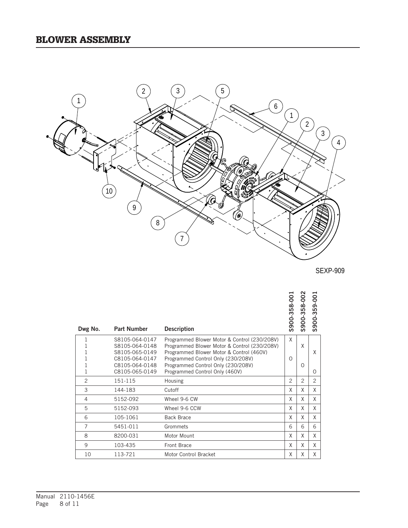

SEXP-909

| Dwg No.        | <b>Part Number</b>               | <b>Description</b>                                                                           | \$900-358-00  | \$900-358-002 | \$900-359-00   |
|----------------|----------------------------------|----------------------------------------------------------------------------------------------|---------------|---------------|----------------|
| 1<br>1         | S8105-064-0147<br>S8105-064-0148 | Programmed Blower Motor & Control (230/208V)<br>Programmed Blower Motor & Control (230/208V) | X             | X             |                |
| 1              | S8105-065-0149                   | Programmed Blower Motor & Control (460V)                                                     |               |               | X              |
| 1              | C8105-064-0147                   | Programmed Control Only (230/208V)                                                           | $\Omega$      |               |                |
| 1              | C8105-064-0148                   | Programmed Control Only (230/208V)                                                           |               | $\Omega$      |                |
| 1              | C8105-065-0149                   | Programmed Control Only (460V)                                                               |               |               | 0              |
| $\overline{2}$ | 151-115                          | Housing                                                                                      | $\mathcal{P}$ | $\mathcal{P}$ | $\overline{2}$ |
| 3              | 144-183                          | Cutoff                                                                                       | X             | X             | X              |
| 4              | 5152-092                         | Wheel 9-6 CW                                                                                 | X             | X             | X              |
| 5              | 5152-093                         | Wheel 9-6 CCW                                                                                | X             | X             | X              |
| 6              | 105-1061                         | <b>Back Brace</b>                                                                            | X             | X             | X              |
| $\overline{7}$ | 5451-011                         | Grommets                                                                                     | 6             | 6             | 6              |
| 8              | 8200-031                         | Motor Mount                                                                                  | X             | X             | X              |
| 9              | 103-435                          | Front Brace                                                                                  | X             | X             | X              |
| 10             | 113-721                          | Motor Control Bracket                                                                        | X             | X             | X              |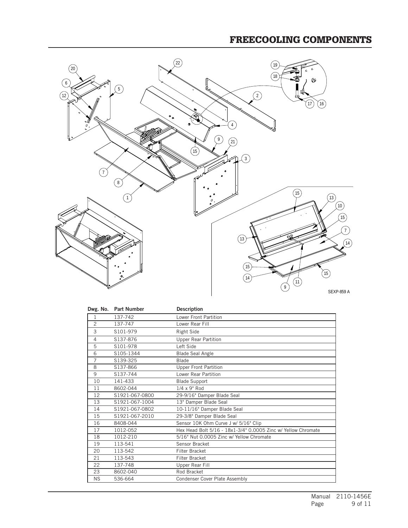## FREECOOLING COMPONENTS



| Dwg. No.       | <b>Part Number</b> | <b>Description</b>                                            |
|----------------|--------------------|---------------------------------------------------------------|
| 1              | 137-742            | Lower Front Partition                                         |
| $\overline{c}$ | 137-747            | Lower Rear Fill                                               |
| 3              | S101-979           | Right Side                                                    |
| $\overline{4}$ | S137-876           | Upper Rear Partition                                          |
| 5              | S101-978           | Left Side                                                     |
| 6              | S105-1344          | <b>Blade Seal Angle</b>                                       |
| 7              | S139-325           | <b>Blade</b>                                                  |
| 8              | S137-866           | <b>Upper Front Partition</b>                                  |
| 9              | S137-744           | Lower Rear Partition                                          |
| 10             | 141-433            | <b>Blade Support</b>                                          |
| 11             | 8602-044           | $1/4 \times 9"$ Rod                                           |
| 12             | S1921-067-0800     | 29-9/16" Damper Blade Seal                                    |
| 13             | S1921-067-1004     | 13" Damper Blade Seal                                         |
| 14             | S1921-067-0802     | 10-11/16" Damper Blade Seal                                   |
| 15             | S1921-067-2010     | 29-3/8" Damper Blade Seal                                     |
| 16             | 8408-044           | Sensor 10K Ohm Curve J w/ 5/16" Clip                          |
| 17             | 1012-052           | Hex Head Bolt 5/16 - 18x1-3/4" 0.0005 Zinc w/ Yellow Chromate |
| 18             | 1012-210           | 5/16" Nut 0.0005 Zinc w/ Yellow Chromate                      |
| 19             | 113-541            | Sensor Bracket                                                |
| 20             | 113-542            | Filter Bracket                                                |
| 21             | 113-543            | Filter Bracket                                                |
| 22             | 137-748            | Upper Rear Fill                                               |
| 23             | 8602-040           | Rod Bracket                                                   |
| <b>NS</b>      | 536-664            | Condenser Cover Plate Assembly                                |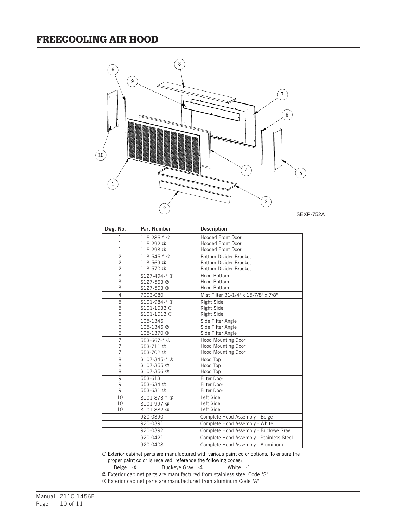### FREECOOLING AIR HOOD



SEXP-752A

| Dwg. No.       | <b>Part Number</b>     | <b>Description</b>                       |
|----------------|------------------------|------------------------------------------|
| 1              | 115-285-* <sup>0</sup> | <b>Hooded Front Door</b>                 |
| 1              | 115-292 2              | Hooded Front Door                        |
| 1              | 115-293 <sup>3</sup>   | Hooded Front Door                        |
| $\overline{c}$ | $113 - 545 - * 0$      | <b>Bottom Divider Bracket</b>            |
| $\overline{c}$ | 113-569 2              | <b>Bottom Divider Bracket</b>            |
| $\overline{c}$ | 113-570 <sup>3</sup>   | <b>Bottom Divider Bracket</b>            |
| 3              | $$127-494-*$ ①         | Hood Bottom                              |
| 3              | S127-563 2             | Hood Bottom                              |
| 3              | S127-503 <sup>3</sup>  | Hood Bottom                              |
| $\overline{4}$ | 7003-080               | Mist Filter 31-1/4" x 15-7/8" x 7/8"     |
| 5              | $$101-984-*0$          | Right Side                               |
| 5              | S101-1033 2            | Right Side                               |
| 5              | S101-1013 3            | Right Side                               |
| 6              | 105-1346               | Side Filter Angle                        |
| 6              | 105-1346 <sup>2</sup>  | Side Filter Angle                        |
| 6              | 105-1370 <sup>3</sup>  | Side Filter Angle                        |
| 7              | 553-667- $*$ ①         | Hood Mounting Door                       |
| 7              | 553-711 <sup>(2)</sup> | Hood Mounting Door                       |
| 7              | 553-702 <sup>3</sup>   | Hood Mounting Door                       |
| 8              | $$107-345-*$ ①         | Hood Top                                 |
| 8              | S107-355 2             | Hood Top                                 |
| 8              | S107-356 <sup>3</sup>  | Hood Top                                 |
| 9              | 553-613                | Filter Door                              |
| 9              | 553-634 <sup>2</sup>   | Filter Door                              |
| 9              | 553-631 <sup>3</sup>   | Filter Door                              |
| 10             | $$101-873-*$ ①         | Left Side                                |
| 10             | S101-997 2             | Left Side                                |
| 10             | S101-882 3             | Left Side                                |
|                | 920-0390               | Complete Hood Assembly - Beige           |
|                | 920-0391               | Complete Hood Assembly - White           |
|                | 920-0392               | Complete Hood Assembly - Buckeye Gray    |
|                | 920-0421               | Complete Hood Assembly - Stainless Steel |
|                | 920-0408               | Complete Hood Assembly - Aluminum        |

 Exterior cabinet parts are manufactured with various paint color options. To ensure the proper paint color is received, reference the following codes:

Beige -X Buckeye Gray -4 White -1

<sup>2</sup> Exterior cabinet parts are manufactured from stainless steel Code "S"

Exterior cabinet parts are manufactured from aluminum Code "A"